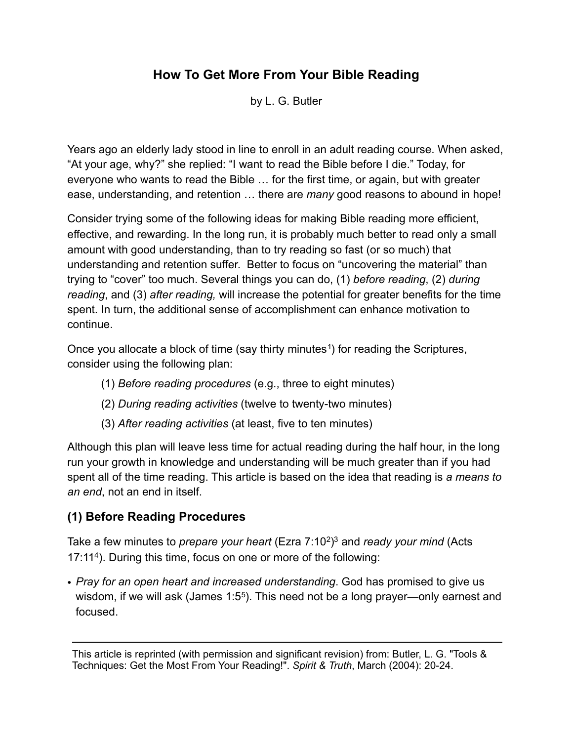# **How To Get More From Your Bible Reading**

by L. G. Butler

Years ago an elderly lady stood in line to enroll in an adult reading course. When asked, "At your age, why?" she replied: "I want to read the Bible before I die." Today, for everyone who wants to read the Bible … for the first time, or again, but with greater ease, understanding, and retention … there are *many* good reasons to abound in hope!

Consider trying some of the following ideas for making Bible reading more efficient, effective, and rewarding. In the long run, it is probably much better to read only a small amount with good understanding, than to try reading so fast (or so much) that understanding and retention suffer. Better to focus on "uncovering the material" than trying to "cover" too much. Several things you can do, (1) *before reading*, (2) *during reading*, and (3) *after reading,* will increase the potential for greater benefits for the time spent. In turn, the additional sense of accomplishment can enhance motivation to continue.

Once you allocate a block of time (say thirty minutes<sup>1</sup>) for reading the Scriptures, consider using the following plan:

- (1) *Before reading procedures* (e.g., three to eight minutes)
- (2) *During reading activities* (twelve to twenty-two minutes)
- (3) *After reading activities* (at least, five to ten minutes)

Although this plan will leave less time for actual reading during the half hour, in the long run your growth in knowledge and understanding will be much greater than if you had spent all of the time reading. This article is based on the idea that reading is *a means to an end*, not an end in itself.

## **(1) Before Reading Procedures**

Take a few minutes to *prepare your heart* (Ezra 7:10[2](#page-4-1)[\)3](#page-4-2) and *ready your mind* (Acts 17:1[14\)](#page-4-3). During this time, focus on one or more of the following:

• *Pray for an open heart and increased understanding*. God has promised to give us wisdom, if we will ask (James 1:[5](#page-4-4)<sup>5</sup>). This need not be a long prayer—only earnest and focused.

This article is reprinted (with permission and significant revision) from: Butler, L. G. "Tools & Techniques: Get the Most From Your Reading!". *Spirit & Truth*, March (2004): 20-24.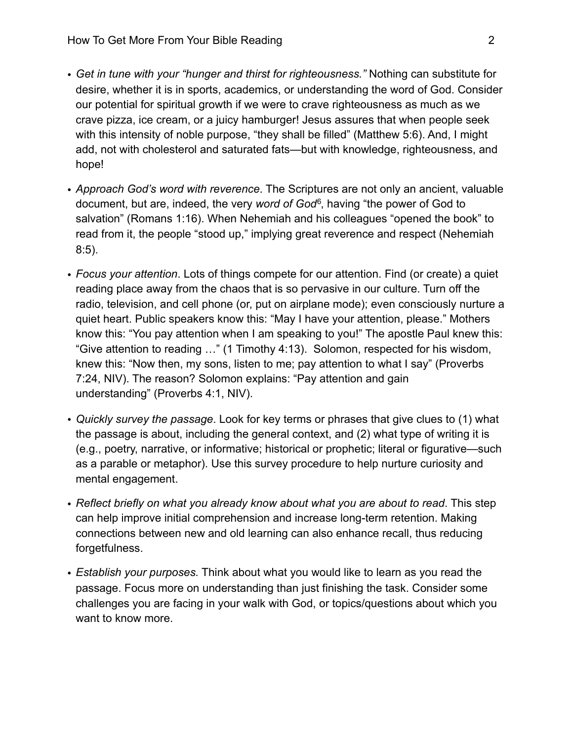- *Get in tune with your "hunger and thirst for righteousness."* Nothing can substitute for desire, whether it is in sports, academics, or understanding the word of God. Consider our potential for spiritual growth if we were to crave righteousness as much as we crave pizza, ice cream, or a juicy hamburger! Jesus assures that when people seek with this intensity of noble purpose, "they shall be filled" (Matthew 5:6). And, I might add, not with cholesterol and saturated fats—but with knowledge, righteousness, and hope!
- *Approach God's word with reverence*. The Scriptures are not only an ancient, valuable document, but are, indeed, the very *word of God*[6,](#page-4-5) having "the power of God to salvation" (Romans 1:16). When Nehemiah and his colleagues "opened the book" to read from it, the people "stood up," implying great reverence and respect (Nehemiah 8:5).
- *Focus your attention*. Lots of things compete for our attention. Find (or create) a quiet reading place away from the chaos that is so pervasive in our culture. Turn off the radio, television, and cell phone (or, put on airplane mode); even consciously nurture a quiet heart. Public speakers know this: "May I have your attention, please." Mothers know this: "You pay attention when I am speaking to you!" The apostle Paul knew this: "Give attention to reading …" (1 Timothy 4:13). Solomon, respected for his wisdom, knew this: "Now then, my sons, listen to me; pay attention to what I say" (Proverbs 7:24, NIV). The reason? Solomon explains: "Pay attention and gain understanding" (Proverbs 4:1, NIV).
- *Quickly survey the passage*. Look for key terms or phrases that give clues to (1) what the passage is about, including the general context, and (2) what type of writing it is (e.g., poetry, narrative, or informative; historical or prophetic; literal or figurative—such as a parable or metaphor). Use this survey procedure to help nurture curiosity and mental engagement.
- *Reflect briefly on what you already know about what you are about to read*. This step can help improve initial comprehension and increase long-term retention. Making connections between new and old learning can also enhance recall, thus reducing forgetfulness.
- *Establish your purposes.* Think about what you would like to learn as you read the passage. Focus more on understanding than just finishing the task. Consider some challenges you are facing in your walk with God, or topics/questions about which you want to know more.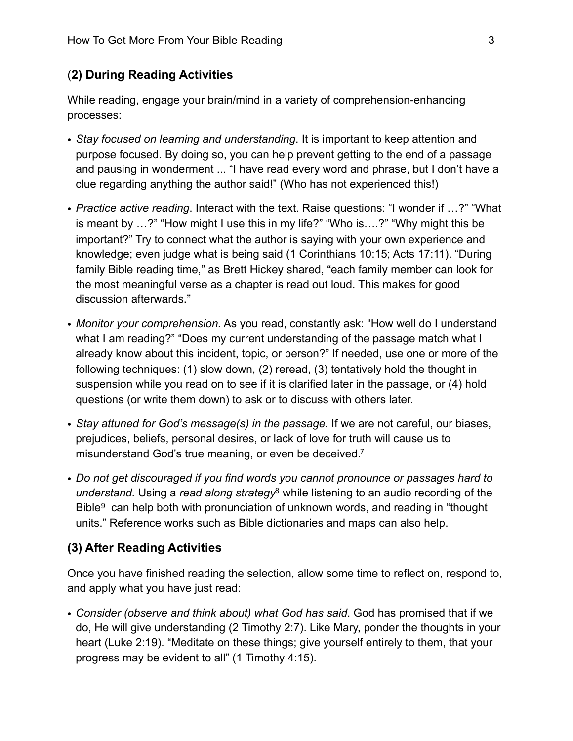## (**2) During Reading Activities**

While reading, engage your brain/mind in a variety of comprehension-enhancing processes:

- *Stay focused on learning and understanding*. It is important to keep attention and purpose focused. By doing so, you can help prevent getting to the end of a passage and pausing in wonderment ... "I have read every word and phrase, but I don't have a clue regarding anything the author said!" (Who has not experienced this!)
- *Practice active reading*. Interact with the text. Raise questions: "I wonder if …?" "What is meant by …?" "How might I use this in my life?" "Who is….?" "Why might this be important?" Try to connect what the author is saying with your own experience and knowledge; even judge what is being said (1 Corinthians 10:15; Acts 17:11). "During family Bible reading time," as Brett Hickey shared, "each family member can look for the most meaningful verse as a chapter is read out loud. This makes for good discussion afterwards."
- *Monitor your comprehension.* As you read, constantly ask: "How well do I understand what I am reading?" "Does my current understanding of the passage match what I already know about this incident, topic, or person?" If needed, use one or more of the following techniques: (1) slow down, (2) reread, (3) tentatively hold the thought in suspension while you read on to see if it is clarified later in the passage, or (4) hold questions (or write them down) to ask or to discuss with others later.
- *Stay attuned for God's message(s) in the passage.* If we are not careful, our biases, prejudices, beliefs, personal desires, or lack of love for truth will cause us to misunderstand God's true meaning, or even be deceived[.7](#page-4-6)
- *Do not get discouraged if you find words you cannot pronounce or passages hard to understand.* Using a *read along strategy*[8](#page-4-7) while listening to an audio recording of the Bible<sup>[9](#page-5-0)</sup> can help both with pronunciation of unknown words, and reading in "thought units." Reference works such as Bible dictionaries and maps can also help.

#### **(3) After Reading Activities**

Once you have finished reading the selection, allow some time to reflect on, respond to, and apply what you have just read:

• *Consider (observe and think about) what God has said*. God has promised that if we do, He will give understanding (2 Timothy 2:7). Like Mary, ponder the thoughts in your heart (Luke 2:19). "Meditate on these things; give yourself entirely to them, that your progress may be evident to all" (1 Timothy 4:15).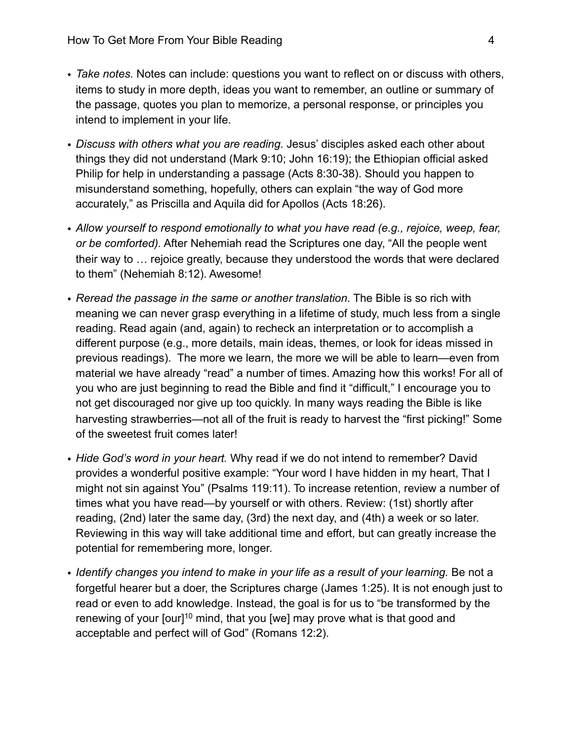- *Take notes.* Notes can include: questions you want to reflect on or discuss with others, items to study in more depth, ideas you want to remember, an outline or summary of the passage, quotes you plan to memorize, a personal response, or principles you intend to implement in your life.
- *Discuss with others what you are reading.* Jesus' disciples asked each other about things they did not understand (Mark 9:10; John 16:19); the Ethiopian official asked Philip for help in understanding a passage (Acts 8:30-38). Should you happen to misunderstand something, hopefully, others can explain "the way of God more accurately," as Priscilla and Aquila did for Apollos (Acts 18:26).
- *Allow yourself to respond emotionally to what you have read (e.g., rejoice, weep, fear, or be comforted).* After Nehemiah read the Scriptures one day, "All the people went their way to … rejoice greatly, because they understood the words that were declared to them" (Nehemiah 8:12). Awesome!
- *Reread the passage in the same or another translation*. The Bible is so rich with meaning we can never grasp everything in a lifetime of study, much less from a single reading. Read again (and, again) to recheck an interpretation or to accomplish a different purpose (e.g., more details, main ideas, themes, or look for ideas missed in previous readings). The more we learn, the more we will be able to learn—even from material we have already "read" a number of times. Amazing how this works! For all of you who are just beginning to read the Bible and find it "difficult," I encourage you to not get discouraged nor give up too quickly. In many ways reading the Bible is like harvesting strawberries—not all of the fruit is ready to harvest the "first picking!" Some of the sweetest fruit comes later!
- *Hide God's word in your heart.* Why read if we do not intend to remember? David provides a wonderful positive example: "Your word I have hidden in my heart, That I might not sin against You" (Psalms 119:11). To increase retention, review a number of times what you have read—by yourself or with others. Review: (1st) shortly after reading, (2nd) later the same day, (3rd) the next day, and (4th) a week or so later. Reviewing in this way will take additional time and effort, but can greatly increase the potential for remembering more, longer.
- *Identify changes you intend to make in your life as a result of your learning.* Be not a forgetful hearer but a doer, the Scriptures charge (James 1:25). It is not enough just to read or even to add knowledge. Instead, the goal is for us to "be transformed by the renewing of your [our]<sup>10</sup> mind, that you [we] may prove what is that good and acceptable and perfect will of God" (Romans 12:2).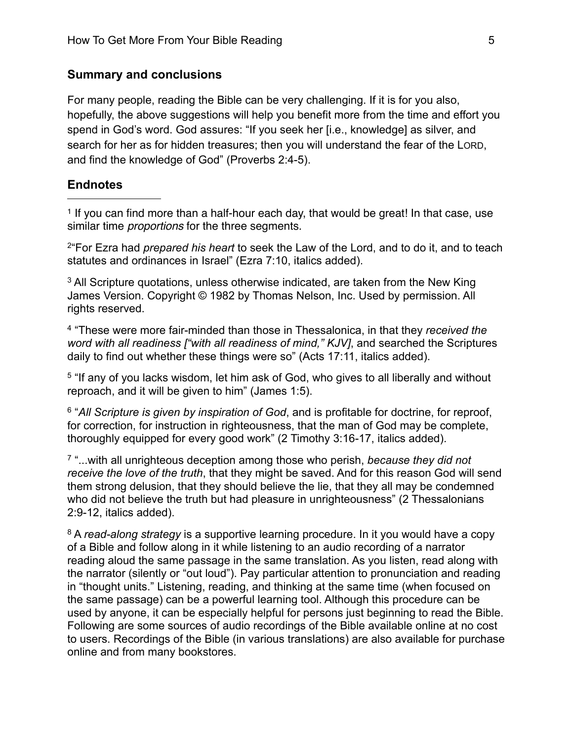#### **Summary and conclusions**

For many people, reading the Bible can be very challenging. If it is for you also, hopefully, the above suggestions will help you benefit more from the time and effort you spend in God's word. God assures: "If you seek her [i.e., knowledge] as silver, and search for her as for hidden treasures; then you will understand the fear of the LORD, and find the knowledge of God" (Proverbs 2:4-5).

#### **Endnotes**

<span id="page-4-0"></span><sup>1</sup> If you can find more than a half-hour each day, that would be great! In that case, use similar time *proportions* for the three segments.

<span id="page-4-1"></span>2"For Ezra had *prepared his heart* to seek the Law of the Lord, and to do it, and to teach statutes and ordinances in Israel" (Ezra 7:10, italics added).

<span id="page-4-2"></span><sup>3</sup> All Scripture quotations, unless otherwise indicated, are taken from the New King James Version. Copyright © 1982 by Thomas Nelson, Inc. Used by permission. All rights reserved.

<span id="page-4-3"></span>4 "These were more fair-minded than those in Thessalonica, in that they *received the word with all readiness ["with all readiness of mind," KJV]*, and searched the Scriptures daily to find out whether these things were so" (Acts 17:11, italics added).

<span id="page-4-4"></span>5 "If any of you lacks wisdom, let him ask of God, who gives to all liberally and without reproach, and it will be given to him" (James 1:5).

<span id="page-4-5"></span><sup>6</sup> "All Scripture is given by inspiration of God, and is profitable for doctrine, for reproof. for correction, for instruction in righteousness, that the man of God may be complete, thoroughly equipped for every good work" (2 Timothy 3:16-17, italics added).

<span id="page-4-6"></span>7 "...with all unrighteous deception among those who perish, *because they did not receive the love of the truth*, that they might be saved. And for this reason God will send them strong delusion, that they should believe the lie, that they all may be condemned who did not believe the truth but had pleasure in unrighteousness" (2 Thessalonians 2:9-12, italics added).

<span id="page-4-7"></span><sup>8</sup> A *read-along strategy* is a supportive learning procedure. In it you would have a copy of a Bible and follow along in it while listening to an audio recording of a narrator reading aloud the same passage in the same translation. As you listen, read along with the narrator (silently or "out loud"). Pay particular attention to pronunciation and reading in "thought units." Listening, reading, and thinking at the same time (when focused on the same passage) can be a powerful learning tool. Although this procedure can be used by anyone, it can be especially helpful for persons just beginning to read the Bible. Following are some sources of audio recordings of the Bible available online at no cost to users. Recordings of the Bible (in various translations) are also available for purchase online and from many bookstores.